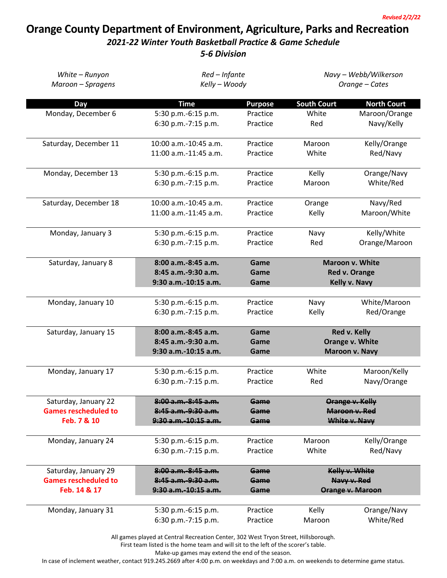## **Orange County Department of Environment, Agriculture, Parks and Recreation**

## *2021-22 Winter Youth Basketball Practice & Game Schedule*

*5-6 Division*

| White - Runyon              | Red - Infante<br>Kelly - Woody             |                | Navy - Webb/Wilkerson<br>Orange - Cates |                          |  |
|-----------------------------|--------------------------------------------|----------------|-----------------------------------------|--------------------------|--|
| Maroon - Spragens           |                                            |                |                                         |                          |  |
| Day                         | <b>Time</b>                                | <b>Purpose</b> | <b>South Court</b>                      | <b>North Court</b>       |  |
| Monday, December 6          | 5:30 p.m.-6:15 p.m.                        | Practice       | White                                   | Maroon/Orange            |  |
|                             | 6:30 p.m.-7:15 p.m.                        | Practice       | Red                                     | Navy/Kelly               |  |
| Saturday, December 11       | $10:00$ a.m.- $10:45$ a.m.                 | Practice       | Maroon                                  | Kelly/Orange             |  |
|                             | 11:00 a.m.-11:45 a.m.                      | Practice       | White                                   | Red/Navy                 |  |
| Monday, December 13         | 5:30 p.m.-6:15 p.m.                        | Practice       | Kelly                                   | Orange/Navy              |  |
|                             | 6:30 p.m.-7:15 p.m.                        | Practice       | Maroon                                  | White/Red                |  |
| Saturday, December 18       | 10:00 a.m.-10:45 a.m.                      | Practice       | Orange                                  | Navy/Red                 |  |
|                             | 11:00 a.m.-11:45 a.m.                      | Practice       | Kelly                                   | Maroon/White             |  |
| Monday, January 3           | 5:30 p.m.-6:15 p.m.                        | Practice       | Navy                                    | Kelly/White              |  |
|                             | 6:30 p.m.-7:15 p.m.                        | Practice       | Red                                     | Orange/Maroon            |  |
| Saturday, January 8         | 8:00 a.m.-8:45 a.m.                        | Game           | <b>Maroon v. White</b>                  |                          |  |
|                             | 8:45 a.m.-9:30 a.m.                        | Game           |                                         | Red v. Orange            |  |
|                             | 9:30 a.m.-10:15 a.m.                       | Game           | Kelly v. Navy                           |                          |  |
| Monday, January 10          | 5:30 p.m.-6:15 p.m.                        | Practice       | Navy                                    | White/Maroon             |  |
|                             | 6:30 p.m.-7:15 p.m.                        | Practice       | Kelly                                   | Red/Orange               |  |
| Saturday, January 15        | 8:00 a.m.-8:45 a.m.                        | Game           | Red v. Kelly                            |                          |  |
|                             | 8:45 a.m.-9:30 a.m.                        | Game           | Orange v. White                         |                          |  |
|                             | 9:30 a.m.-10:15 a.m.                       | Game           |                                         | Maroon v. Navy           |  |
| Monday, January 17          | 5:30 p.m.-6:15 p.m.                        | Practice       | White                                   | Maroon/Kelly             |  |
|                             | 6:30 p.m.-7:15 p.m.                        | Practice       | Red                                     | Navy/Orange              |  |
| Saturday, January 22        | 8:00 a.m. 8:45 a.m.                        | Game           | Orange v. Kelly                         |                          |  |
| <b>Games rescheduled to</b> | 8:45 a.m. 9:30 a.m.                        | Game           | Maroon v. Red                           |                          |  |
| Feb. 7 & 10                 | 9:30 a.m.-10:15 a.m.                       | Game           | White v. Navy                           |                          |  |
| Monday, January 24          | 5:30 p.m.-6:15 p.m.                        | Practice       | Maroon                                  | Kelly/Orange             |  |
|                             | 6:30 p.m.-7:15 p.m.                        | Practice       | White                                   | Red/Navy                 |  |
| Saturday, January 29        | 8:00 a.m.-8:45 a.m.                        | Game           | Kelly v. White                          |                          |  |
| <b>Games rescheduled to</b> | 8:45 a.m. 9:30 a.m.                        | Game           | Navy v. Red<br>Orange v. Maroon         |                          |  |
| Feb. 14 & 17                | 9:30 a.m. 10:15 a.m.                       | Game           |                                         |                          |  |
|                             |                                            | Practice       | Kelly                                   |                          |  |
| Monday, January 31          | 5:30 p.m.-6:15 p.m.<br>6:30 p.m.-7:15 p.m. | Practice       | Maroon                                  | Orange/Navy<br>White/Red |  |
|                             |                                            |                |                                         |                          |  |

All games played at Central Recreation Center, 302 West Tryon Street, Hillsborough.

First team listed is the home team and will sit to the left of the scorer's table.

Make-up games may extend the end of the season.

In case of inclement weather, contact 919.245.2669 after 4:00 p.m. on weekdays and 7:00 a.m. on weekends to determine game status.